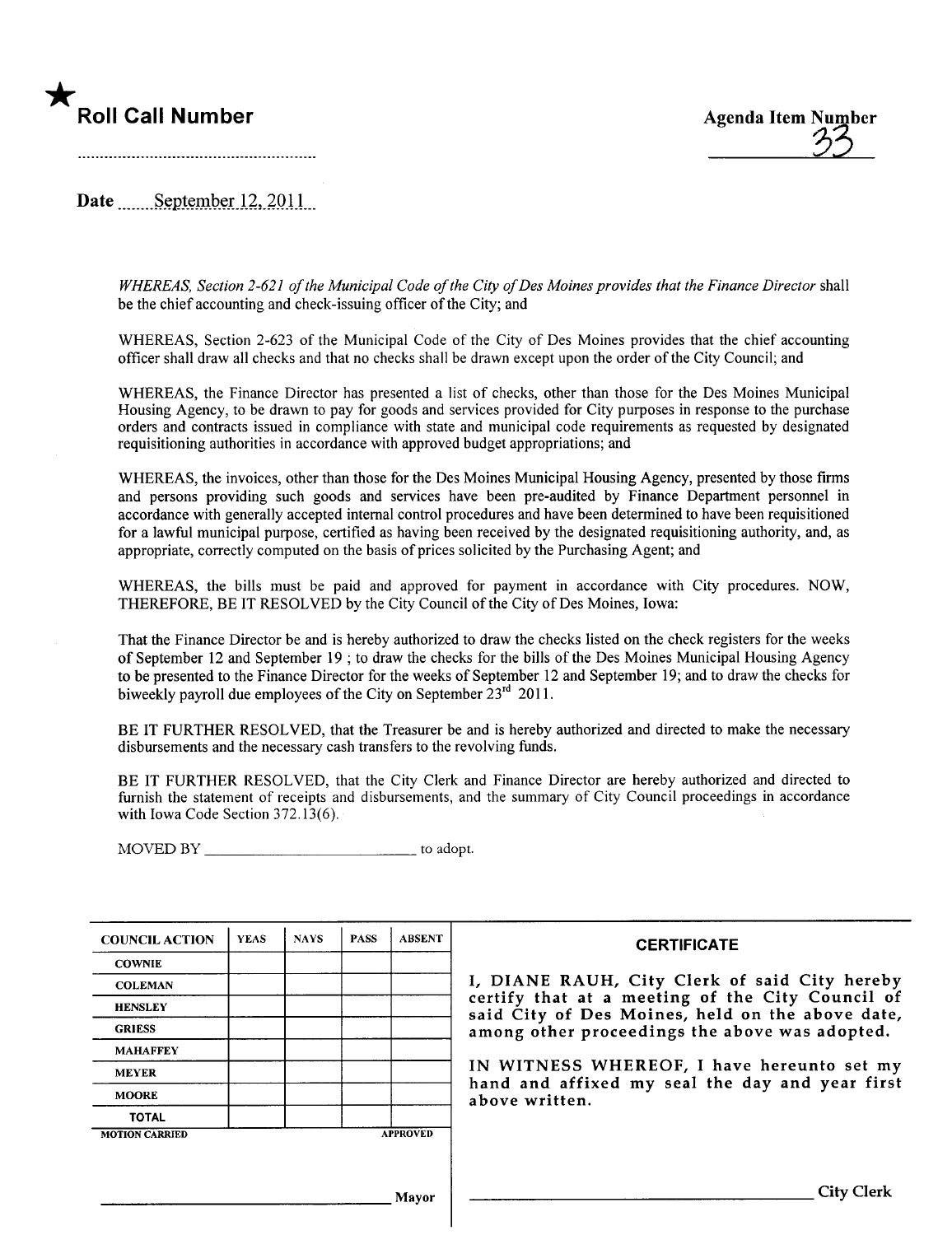# \*



Date September  $12,2011$ 

WHEREAS, Section 2-621 of the Municipal Code of the City of Des Moines provides that the Finance Director shall be the chief accounting and check-issuing officer of the City; and

WHEREAS, Section 2-623 of the Municipal Code of the City of Des Moines provides that the chief accounting offcer shall draw all checks and that no checks shall be drawn except upon the order of the City Council; and

WHEREAS, the Finance Director has presented a list of checks, other than those for the Des Moines Municipal Housing Agency, to be drawn to pay for goods and services provided for City purposes in response to the purchase orders and contracts issued in compliance with state and municipal code requirements as requested by designated requisitioning authorities in accordance with approved budget appropriations; and

WHEREAS, the invoices, other than those for the Des Moines Municipal Housing Agency, presented by those firms and persons providing such goods and services have been pre-audited by Finance Department personnel in accordance with generally accepted internal control procedures and have been determined to have been requisitioned for a lawful municipal purpose, certified as having been received by the designated requisitioning authority, and, as appropriate, correctly computed on the basis of prices solicited by the Purchasing Agent; and

WHEREAS, the bils must be paid and approved for payment in accordance with City procedures. NOW, THEREFORE, BE IT RESOLVED by the City Council ofthe City of Des Moines, Iowa:

That the Finance Director be and is hereby authorized to draw the checks listed on the check registers for the weeks of September 12 and September 19 ; to draw the checks for the bils of the Des Moines Municipal Housing Agency to be presented to the Finance Director for the weeks of September 12 and September 19; and to draw the checks for biweekly payroll due employees of the City on September 23<sup>rd</sup> 2011.

BE IT FURTHER RESOLVED, that the Treasurer be and is hereby authorized and directed to make the necessary disbursements and the necessary cash transfers to the revolving funds.

BE IT FURTHER RESOLVED, that the City Clerk and Finance Director are hereby authorized and directed to furnish the statement of receipts and disbursements, and the summary of City Council proceedings in accordance with Iowa Code Section 372.13(6).

MOVED BY to adopt.

| <b>COUNCIL ACTION</b> | <b>YEAS</b> | <b>NAYS</b> | <b>PASS</b> | <b>ABSENT</b>   | <b>CERTIFICATE</b>                                                                                   |
|-----------------------|-------------|-------------|-------------|-----------------|------------------------------------------------------------------------------------------------------|
| <b>COWNIE</b>         |             |             |             |                 |                                                                                                      |
| <b>COLEMAN</b>        |             |             |             |                 | I, DIANE RAUH, City Clerk of said City hereby                                                        |
| <b>HENSLEY</b>        |             |             |             |                 | certify that at a meeting of the City Council of<br>said City of Des Moines, held on the above date, |
| <b>GRIESS</b>         |             |             |             |                 | among other proceedings the above was adopted.                                                       |
| <b>MAHAFFEY</b>       |             |             |             |                 |                                                                                                      |
| <b>MEYER</b>          |             |             |             |                 | IN WITNESS WHEREOF, I have hereunto set my                                                           |
| <b>MOORE</b>          |             |             |             |                 | hand and affixed my seal the day and year first<br>above written.                                    |
| <b>TOTAL</b>          |             |             |             |                 |                                                                                                      |
| <b>MOTION CARRIED</b> |             |             |             | <b>APPROVED</b> |                                                                                                      |
|                       |             |             |             |                 |                                                                                                      |
|                       |             |             |             |                 |                                                                                                      |
|                       |             |             |             | Mavor           | <b>City Clerk</b>                                                                                    |
|                       |             |             |             |                 |                                                                                                      |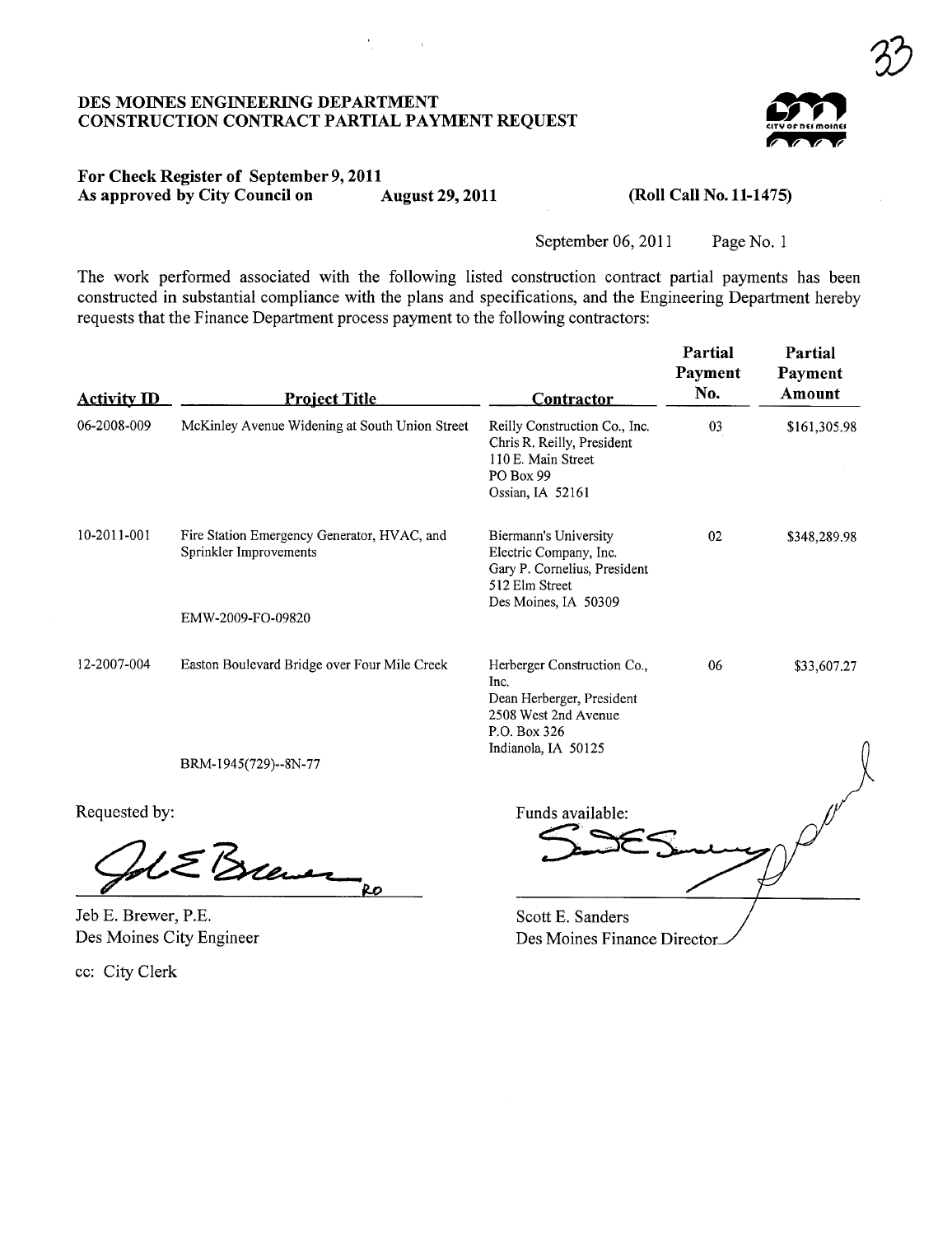# DES MOINES ENGINEERING DEPARTMENT<br>CONSTRUCTION CONTRACT PARTIAL PAYMENT REQUEST

 $\sim 10^{-1}$ 



3)

#### For Check Register of September 9,2011 As approved by City Council on August 29, 2011

(Roll Call No. 11-1475)

September 06, 2011 Page No. 1

The work performed associated with the following listed construction contract partial payments has been constructed in substantial compliance with the plans and specifications, and the Engineering Department hereby requests that the Finance Department process payment to the following contractors:

| <b>Activity ID</b>                              | <b>Project Title</b>                                                  | <b>Contractor</b>                                                                                                               | Partial<br><b>Payment</b><br>No. | Partial<br>Payment<br>Amount |
|-------------------------------------------------|-----------------------------------------------------------------------|---------------------------------------------------------------------------------------------------------------------------------|----------------------------------|------------------------------|
| 06-2008-009                                     | McKinley Avenue Widening at South Union Street                        | Reilly Construction Co., Inc.<br>Chris R. Reilly, President<br>110 E. Main Street<br>PO Box 99<br>Ossian, IA 52161              | 03                               | \$161,305.98                 |
| 10-2011-001                                     | Fire Station Emergency Generator, HVAC, and<br>Sprinkler Improvements | Biermann's University<br>Electric Company, Inc.<br>Gary P. Cornelius, President<br>512 Elm Street<br>Des Moines, IA 50309       | 02                               | \$348,289.98                 |
|                                                 | EMW-2009-FO-09820                                                     |                                                                                                                                 |                                  |                              |
| 12-2007-004                                     | Easton Boulevard Bridge over Four Mile Creek                          | Herberger Construction Co.,<br>Inc.<br>Dean Herberger, President<br>2508 West 2nd Avenue<br>P.O. Box 326<br>Indianola, IA 50125 | 06                               | \$33,607.27                  |
|                                                 | BRM-1945(729)--8N-77                                                  |                                                                                                                                 |                                  |                              |
| Requested by:                                   |                                                                       | Funds available:                                                                                                                |                                  |                              |
|                                                 | 5 Brew<br>RO                                                          |                                                                                                                                 |                                  |                              |
| Jeb E. Brewer, P.E.<br>Des Moines City Engineer |                                                                       | Scott E. Sanders<br>Das Maines Finance Direct                                                                                   |                                  |                              |

Des Moines City Engineer

cc: City Clerk

Des Moines Finance Director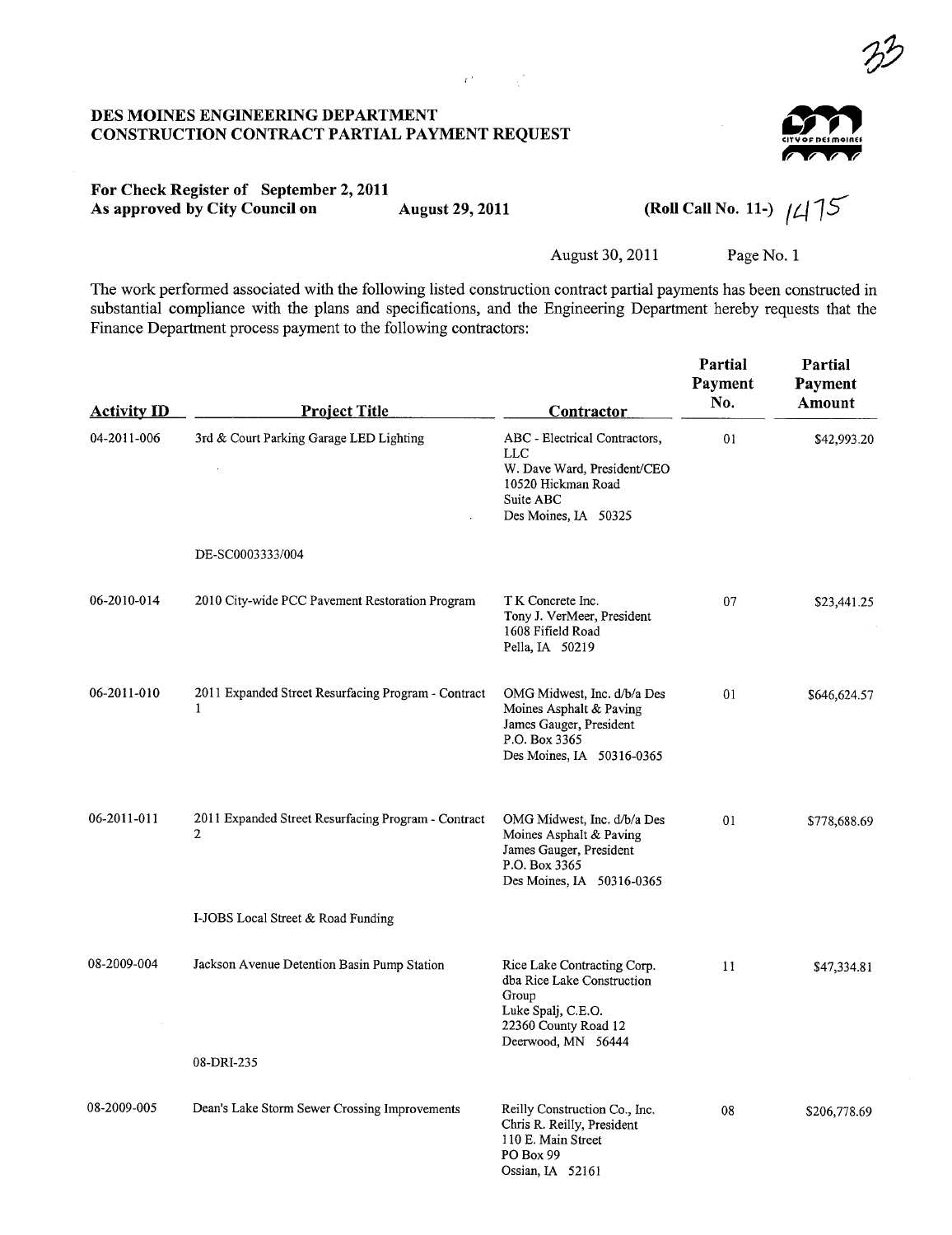#### DES MOINES ENGINEERING DEPARTMENT CONSTRUCTION CONTRACT PARTIAL PAYMENT REQUEST



 $\mathcal{P}'$ 

## For Check Register of September 2, 2011<br>As approved by City Council on

August 29, 2011 (Roll Call No. 11-)  $\frac{1}{4}$   $\frac{1}{5}$ 

August 30, 2011 Page No.1

The work performed associated with the following listed construction contract partial payments has been constructed in substantial compliance with the plans and specifications, and the Engineering Deparment hereby requests that the Finance Department process payment to the following contractors:

 $\mathbf{r}^{(k)}$  and  $\mathbf{r}^{(k)}$ 

| <b>Activity ID</b> | <b>Project Title</b>                                                  | Contractor                                                                                                                             | Partial<br>Payment<br>No. | Partial<br>Payment<br>Amount |
|--------------------|-----------------------------------------------------------------------|----------------------------------------------------------------------------------------------------------------------------------------|---------------------------|------------------------------|
| 04-2011-006        | 3rd & Court Parking Garage LED Lighting                               | ABC - Electrical Contractors,<br><b>LLC</b><br>W. Dave Ward, President/CEO<br>10520 Hickman Road<br>Suite ABC<br>Des Moines, IA 50325  | 01                        | \$42,993.20                  |
|                    | DE-SC0003333/004                                                      |                                                                                                                                        |                           |                              |
| 06-2010-014        | 2010 City-wide PCC Pavement Restoration Program                       | T K Concrete Inc.<br>Tony J. VerMeer, President<br>1608 Fifield Road<br>Pella, IA 50219                                                | 07                        | \$23,441.25                  |
| 06-2011-010        | 2011 Expanded Street Resurfacing Program - Contract<br>1              | OMG Midwest, Inc. d/b/a Des<br>Moines Asphalt & Paving<br>James Gauger, President<br>P.O. Box 3365<br>Des Moines, IA 50316-0365        | 01                        | \$646,624.57                 |
| 06-2011-011        | 2011 Expanded Street Resurfacing Program - Contract<br>$\overline{2}$ | OMG Midwest, Inc. d/b/a Des<br>Moines Asphalt & Paving<br>James Gauger, President<br>P.O. Box 3365<br>Des Moines, IA 50316-0365        | 01                        | \$778,688.69                 |
|                    | I-JOBS Local Street & Road Funding                                    |                                                                                                                                        |                           |                              |
| 08-2009-004        | Jackson Avenue Detention Basin Pump Station                           | Rice Lake Contracting Corp.<br>dba Rice Lake Construction<br>Group<br>Luke Spalj, C.E.O.<br>22360 County Road 12<br>Deerwood, MN 56444 | 11                        | \$47,334.81                  |
|                    | 08-DRI-235                                                            |                                                                                                                                        |                           |                              |
| 08-2009-005        | Dean's Lake Storm Sewer Crossing Improvements                         | Reilly Construction Co., Inc.<br>Chris R. Reilly, President<br>110 E. Main Street<br>PO Box 99<br>Ossian, IA 52161                     | 08                        | \$206,778.69                 |